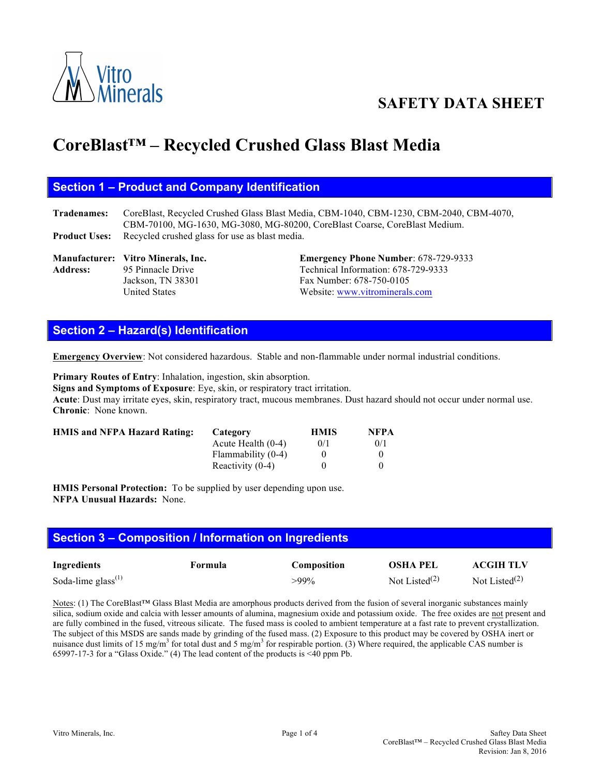

# **SAFETY DATA SHEET**

# **CoreBlast™ – Recycled Crushed Glass Blast Media**

#### **Section 1 – Product and Company Identification**

**Tradenames:** CoreBlast, Recycled Crushed Glass Blast Media, CBM-1040, CBM-1230, CBM-2040, CBM-4070, CBM-70100, MG-1630, MG-3080, MG-80200, CoreBlast Coarse, CoreBlast Medium. **Product Uses:** Recycled crushed glass for use as blast media.

#### **Manufacturer: Vitro Minerals, Inc. Emergency Phone Number**: 678-729-9333 Address: 95 Pinnacle Drive Technical Information: 678-729-9333 Jackson, TN 38301 Fax Number: 678-750-0105 United States Website: www.vitrominerals.com

# **Section 2 – Hazard(s) Identification**

**Emergency Overview**: Not considered hazardous. Stable and non-flammable under normal industrial conditions.

**Primary Routes of Entry**: Inhalation, ingestion, skin absorption.

**Signs and Symptoms of Exposure**: Eye, skin, or respiratory tract irritation.

**Acute**: Dust may irritate eyes, skin, respiratory tract, mucous membranes. Dust hazard should not occur under normal use. **Chronic**: None known.

| <b>HMIS and NFPA Hazard Rating:</b> | Category             | <b>HMIS</b> | <b>NFPA</b> |
|-------------------------------------|----------------------|-------------|-------------|
|                                     | Acute Health $(0-4)$ | 0/1         | 0/1         |
|                                     | Flammability (0-4)   |             |             |
|                                     | Reactivity $(0-4)$   |             |             |

**HMIS Personal Protection:** To be supplied by user depending upon use. **NFPA Unusual Hazards:** None.

# **Section 3 – Composition / Information on Ingredients**

| <b>Ingredients</b>                          | Formula | <b>Composition</b> | <b>OSHA PEL</b>  | <b>ACGIH TLV</b>          |
|---------------------------------------------|---------|--------------------|------------------|---------------------------|
| Soda-lime glass <sup><math>(1)</math></sup> |         | >99%               | Not Listed $(2)$ | Not Listed <sup>(2)</sup> |

Notes: (1) The CoreBlast™ Glass Blast Media are amorphous products derived from the fusion of several inorganic substances mainly silica, sodium oxide and calcia with lesser amounts of alumina, magnesium oxide and potassium oxide. The free oxides are not present and are fully combined in the fused, vitreous silicate. The fused mass is cooled to ambient temperature at a fast rate to prevent crystallization. The subject of this MSDS are sands made by grinding of the fused mass. (2) Exposure to this product may be covered by OSHA inert or nuisance dust limits of 15 mg/m<sup>3</sup> for total dust and 5 mg/m<sup>3</sup> for respirable portion. (3) Where required, the applicable CAS number is 65997-17-3 for a "Glass Oxide." (4) The lead content of the products is <40 ppm Pb.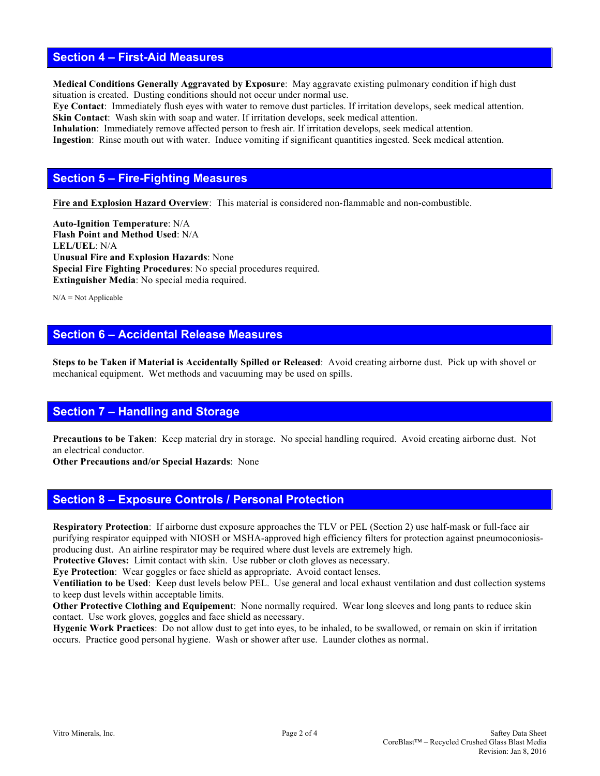#### **Section 4 – First-Aid Measures**

**Medical Conditions Generally Aggravated by Exposure**: May aggravate existing pulmonary condition if high dust situation is created. Dusting conditions should not occur under normal use.

**Eye Contact**: Immediately flush eyes with water to remove dust particles. If irritation develops, seek medical attention. **Skin Contact**: Wash skin with soap and water. If irritation develops, seek medical attention.

**Inhalation**: Immediately remove affected person to fresh air. If irritation develops, seek medical attention. **Ingestion**: Rinse mouth out with water. Induce vomiting if significant quantities ingested. Seek medical attention.

#### **Section 5 – Fire-Fighting Measures**

**Fire and Explosion Hazard Overview**: This material is considered non-flammable and non-combustible.

**Auto-Ignition Temperature**: N/A **Flash Point and Method Used**: N/A **LEL/UEL**: N/A **Unusual Fire and Explosion Hazards**: None **Special Fire Fighting Procedures**: No special procedures required. **Extinguisher Media**: No special media required.

 $N/A = Not$  Applicable

# **Section 6 – Accidental Release Measures**

**Steps to be Taken if Material is Accidentally Spilled or Released**: Avoid creating airborne dust. Pick up with shovel or mechanical equipment. Wet methods and vacuuming may be used on spills.

#### **Section 7 – Handling and Storage**

**Precautions to be Taken**: Keep material dry in storage. No special handling required. Avoid creating airborne dust. Not an electrical conductor.

**Other Precautions and/or Special Hazards**: None

#### **Section 8 – Exposure Controls / Personal Protection**

**Respiratory Protection**: If airborne dust exposure approaches the TLV or PEL (Section 2) use half-mask or full-face air purifying respirator equipped with NIOSH or MSHA-approved high efficiency filters for protection against pneumoconiosisproducing dust. An airline respirator may be required where dust levels are extremely high.

Protective Gloves: Limit contact with skin. Use rubber or cloth gloves as necessary.

**Eye Protection**: Wear goggles or face shield as appropriate. Avoid contact lenses.

**Ventiliation to be Used**: Keep dust levels below PEL. Use general and local exhaust ventilation and dust collection systems to keep dust levels within acceptable limits.

**Other Protective Clothing and Equipement**: None normally required. Wear long sleeves and long pants to reduce skin contact. Use work gloves, goggles and face shield as necessary.

**Hygenic Work Practices**: Do not allow dust to get into eyes, to be inhaled, to be swallowed, or remain on skin if irritation occurs. Practice good personal hygiene. Wash or shower after use. Launder clothes as normal.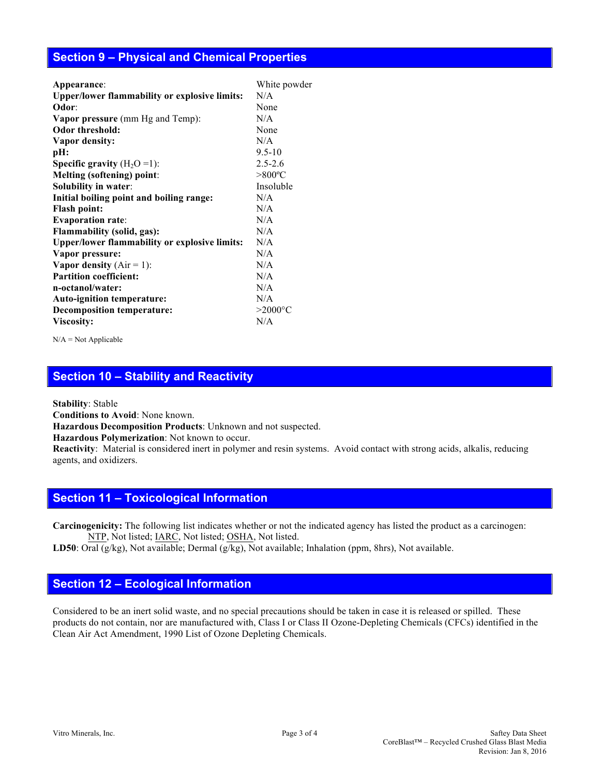#### **Section 9 – Physical and Chemical Properties**

| Appearance:                                          | White powder     |
|------------------------------------------------------|------------------|
| <b>Upper/lower flammability or explosive limits:</b> | N/A              |
| Odor:                                                | None             |
| <b>Vapor pressure</b> (mm Hg and Temp):              | N/A              |
| Odor threshold:                                      | None             |
| Vapor density:                                       | N/A              |
| pH:                                                  | $9.5 - 10$       |
| <b>Specific gravity</b> $(H_2O=1)$ :                 | $2.5 - 2.6$      |
| <b>Melting (softening) point:</b>                    | $>800^{\circ}$ C |
| Solubility in water:                                 | Insoluble        |
| Initial boiling point and boiling range:             | N/A              |
| <b>Flash point:</b>                                  | N/A              |
| <b>Evaporation rate:</b>                             | N/A              |
| Flammability (solid, gas):                           | N/A              |
| <b>Upper/lower flammability or explosive limits:</b> | N/A              |
| Vapor pressure:                                      | N/A              |
| Vapor density $(Air = 1)$ :                          | N/A              |
| <b>Partition coefficient:</b>                        | N/A              |
| n-octanol/water:                                     | N/A              |
| Auto-ignition temperature:                           | N/A              |
| <b>Decomposition temperature:</b>                    | $>2000$ °C       |
| Viscosity:                                           | N/A              |
|                                                      |                  |

N/A = Not Applicable

# **Section 10 – Stability and Reactivity**

**Stability**: Stable

**Conditions to Avoid**: None known.

**Hazardous Decomposition Products**: Unknown and not suspected.

**Hazardous Polymerization**: Not known to occur.

**Reactivity**:Material is considered inert in polymer and resin systems. Avoid contact with strong acids, alkalis, reducing agents, and oxidizers.

#### **Section 11 – Toxicological Information**

**Carcinogenicity:** The following list indicates whether or not the indicated agency has listed the product as a carcinogen: NTP, Not listed; IARC, Not listed; OSHA, Not listed.

**LD50**: Oral (g/kg), Not available; Dermal (g/kg), Not available; Inhalation (ppm, 8hrs), Not available.

#### **Section 12 – Ecological Information**

Considered to be an inert solid waste, and no special precautions should be taken in case it is released or spilled. These products do not contain, nor are manufactured with, Class I or Class II Ozone-Depleting Chemicals (CFCs) identified in the Clean Air Act Amendment, 1990 List of Ozone Depleting Chemicals.